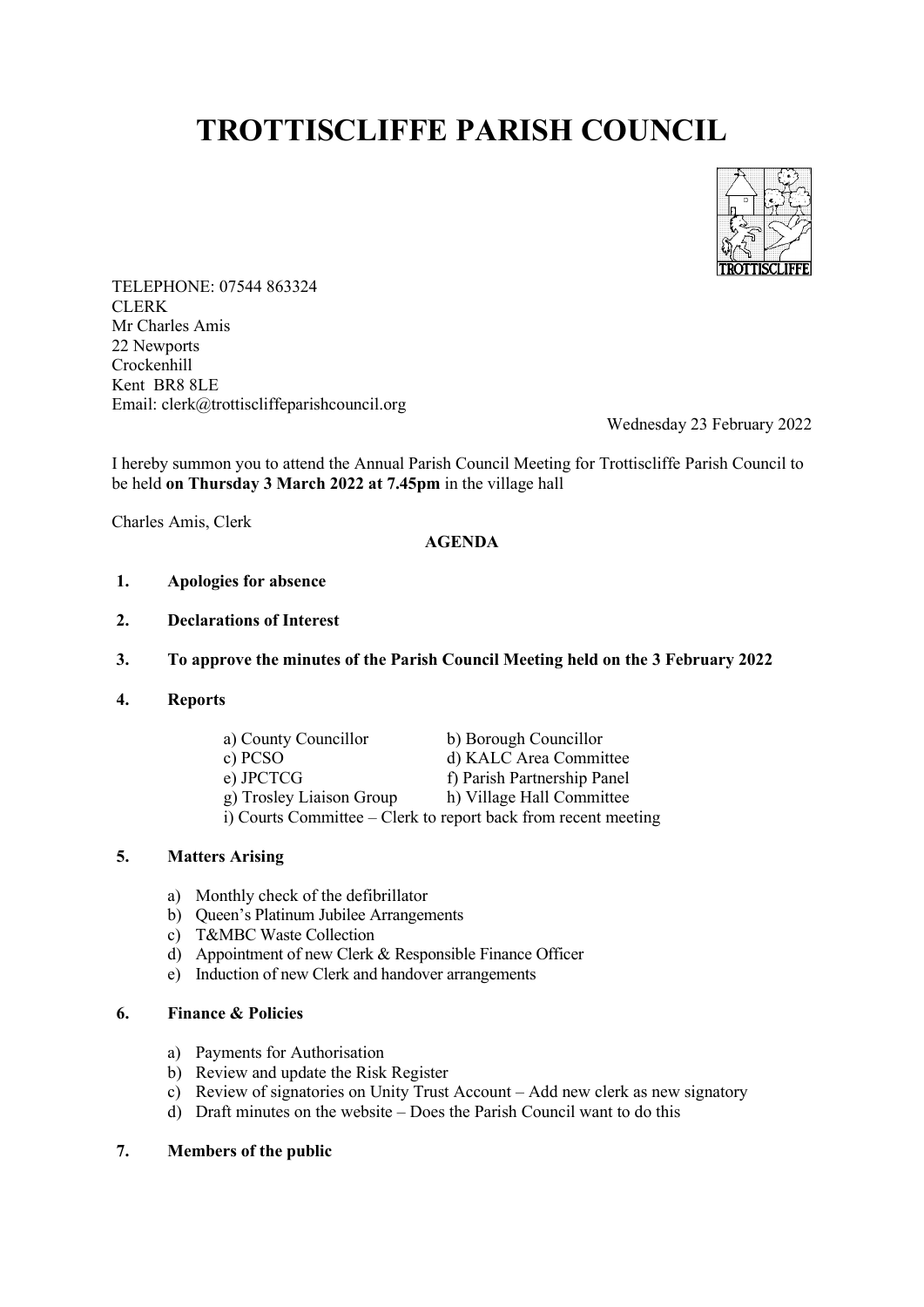# **TROTTISCLIFFE PARISH COUNCIL**



TELEPHONE: 07544 863324 **CLERK** Mr Charles Amis 22 Newports Crockenhill Kent BR8 8LE Email: clerk@trottiscliffeparishcouncil.org

Wednesday 23 February 2022

I hereby summon you to attend the Annual Parish Council Meeting for Trottiscliffe Parish Council to be held **on Thursday 3 March 2022 at 7.45pm** in the village hall

Charles Amis, Clerk

## **AGENDA**

- **1. Apologies for absence**
- **2. Declarations of Interest**

#### **3. To approve the minutes of the Parish Council Meeting held on the 3 February 2022**

**4. Reports**

| a) County Councillor                                           | b) Borough Councillor       |
|----------------------------------------------------------------|-----------------------------|
| c) PCSO                                                        | d) KALC Area Committee      |
| e) JPCTCG                                                      | f) Parish Partnership Panel |
| g) Trosley Liaison Group                                       | h) Village Hall Committee   |
| i) Courts Committee – Clerk to report back from recent meeting |                             |

### **5. Matters Arising**

- a) Monthly check of the defibrillator
- b) Queen's Platinum Jubilee Arrangements
- c) T&MBC Waste Collection
- d) Appointment of new Clerk & Responsible Finance Officer
- e) Induction of new Clerk and handover arrangements

## **6. Finance & Policies**

- a) Payments for Authorisation
- b) Review and update the Risk Register
- c) Review of signatories on Unity Trust Account Add new clerk as new signatory
- d) Draft minutes on the website Does the Parish Council want to do this

## **7. Members of the public**